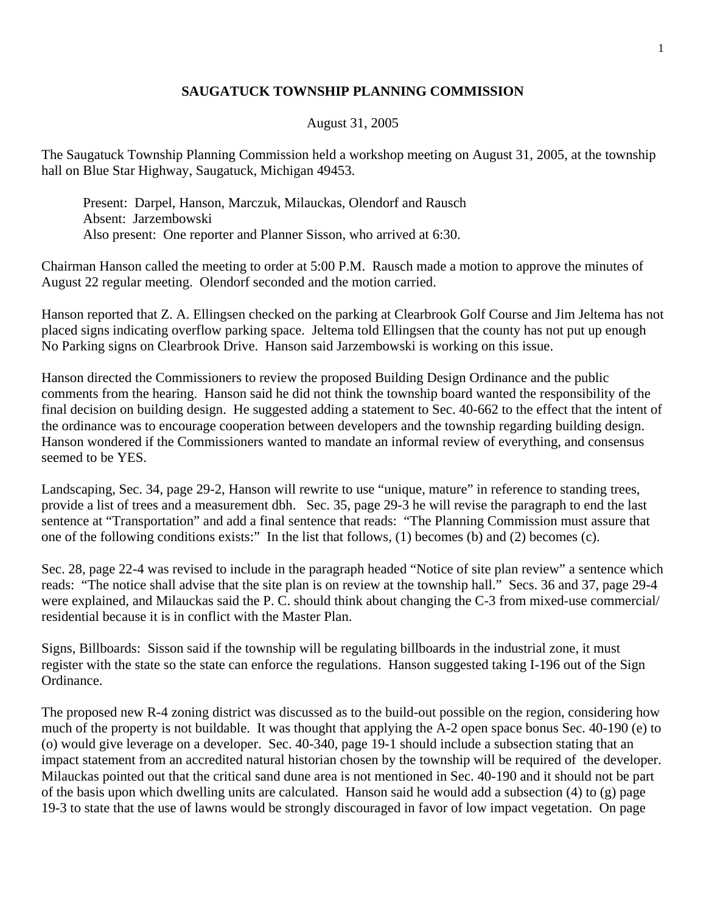## **SAUGATUCK TOWNSHIP PLANNING COMMISSION**

## August 31, 2005

The Saugatuck Township Planning Commission held a workshop meeting on August 31, 2005, at the township hall on Blue Star Highway, Saugatuck, Michigan 49453.

 Present: Darpel, Hanson, Marczuk, Milauckas, Olendorf and Rausch Absent: Jarzembowski Also present: One reporter and Planner Sisson, who arrived at 6:30.

Chairman Hanson called the meeting to order at 5:00 P.M. Rausch made a motion to approve the minutes of August 22 regular meeting. Olendorf seconded and the motion carried.

Hanson reported that Z. A. Ellingsen checked on the parking at Clearbrook Golf Course and Jim Jeltema has not placed signs indicating overflow parking space. Jeltema told Ellingsen that the county has not put up enough No Parking signs on Clearbrook Drive. Hanson said Jarzembowski is working on this issue.

Hanson directed the Commissioners to review the proposed Building Design Ordinance and the public comments from the hearing. Hanson said he did not think the township board wanted the responsibility of the final decision on building design. He suggested adding a statement to Sec. 40-662 to the effect that the intent of the ordinance was to encourage cooperation between developers and the township regarding building design. Hanson wondered if the Commissioners wanted to mandate an informal review of everything, and consensus seemed to be YES.

Landscaping, Sec. 34, page 29-2, Hanson will rewrite to use "unique, mature" in reference to standing trees, provide a list of trees and a measurement dbh. Sec. 35, page 29-3 he will revise the paragraph to end the last sentence at "Transportation" and add a final sentence that reads: "The Planning Commission must assure that one of the following conditions exists:" In the list that follows, (1) becomes (b) and (2) becomes (c).

Sec. 28, page 22-4 was revised to include in the paragraph headed "Notice of site plan review" a sentence which reads: "The notice shall advise that the site plan is on review at the township hall." Secs. 36 and 37, page 29-4 were explained, and Milauckas said the P. C. should think about changing the C-3 from mixed-use commercial/ residential because it is in conflict with the Master Plan.

Signs, Billboards: Sisson said if the township will be regulating billboards in the industrial zone, it must register with the state so the state can enforce the regulations. Hanson suggested taking I-196 out of the Sign Ordinance.

The proposed new R-4 zoning district was discussed as to the build-out possible on the region, considering how much of the property is not buildable. It was thought that applying the A-2 open space bonus Sec. 40-190 (e) to (o) would give leverage on a developer. Sec. 40-340, page 19-1 should include a subsection stating that an impact statement from an accredited natural historian chosen by the township will be required of the developer. Milauckas pointed out that the critical sand dune area is not mentioned in Sec. 40-190 and it should not be part of the basis upon which dwelling units are calculated. Hanson said he would add a subsection (4) to (g) page 19-3 to state that the use of lawns would be strongly discouraged in favor of low impact vegetation. On page